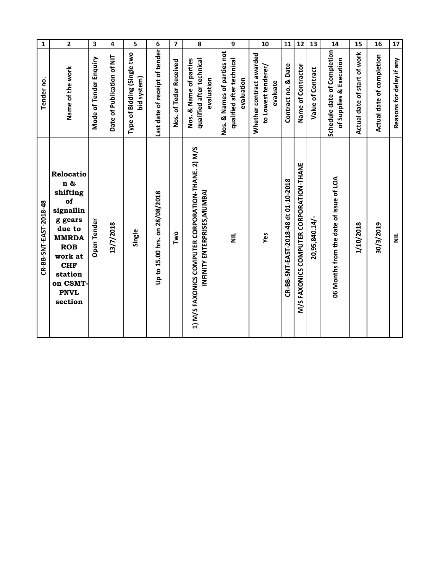| $\mathbf 1$            | $\mathbf 2$                                                                                                                                                                  | 3                      | 4                          | 5                                          | 6                              | $\overline{\mathbf{z}}$ | 8                                                                                  | 9                                                                      | 10                                                          | 11                                   | 12                                      | 13                | 14                                                       | 15                           | 16                        | 17                       |
|------------------------|------------------------------------------------------------------------------------------------------------------------------------------------------------------------------|------------------------|----------------------------|--------------------------------------------|--------------------------------|-------------------------|------------------------------------------------------------------------------------|------------------------------------------------------------------------|-------------------------------------------------------------|--------------------------------------|-----------------------------------------|-------------------|----------------------------------------------------------|------------------------------|---------------------------|--------------------------|
| Tender no              | Name of the work                                                                                                                                                             | Mode of Tender Enquiry | Date of Publication of NIT | Type of Bidding (Single two<br>bid system) | Last date of receipt of tender | Nos. of Teder Received  | Nos. & Name of parties<br>qualified after technical<br>evaluation                  | Nos. & Names of parties not<br>qualified after technical<br>evaluation | Whether contract awarded<br>to Lowest tenderer/<br>evaluate | Contract no. & Date                  | Name of Contractor                      | Value of Contract | Schedule date of Completion<br>Supplies & Execution<br>ቴ | Actual date of start of work | Actual date of completion | Reasons for delay if any |
| CR-BB-SNT-EAST-2018-48 | Relocatio<br>n &<br>shifting<br>of<br>signallin<br>g gears<br>due to<br><b>MMRDA</b><br><b>ROB</b><br>work at<br><b>CHF</b><br>station<br>on CSMT-<br><b>PNVL</b><br>section | Open Tender            | 13/7/2018                  | Single                                     | Up to 15.00 hrs. on 28/08/2018 | Two                     | 1) M/S FAXONICS COMPUTER CORPORATION-THANE. 2) M/S<br>INFINITY ENTERPRISES, MUMBAI | $\bar{z}$                                                              | Yes                                                         | CR-BB-SNT-EAST-2018-48 dt 01-10-2018 | M/S FAXONICS COMPUTER CORPORATION-THANE | 20,95,840.14/-    | 06 Months from the date of issue of LOA                  | 1/10/2018                    | 30/3/2019                 | $\bar{z}$                |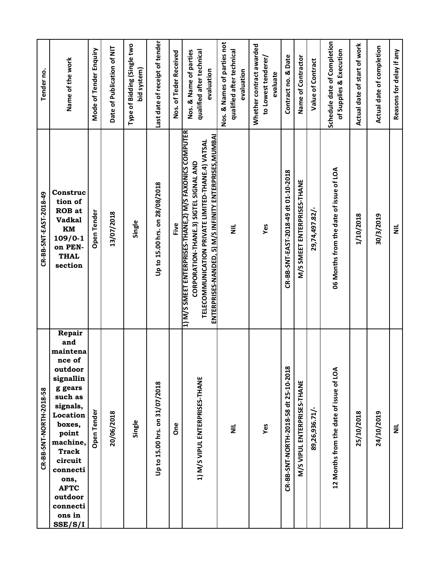| Tender no.              | Name of the work                                                                                                                                                                                                                                   | Mode of Tender Enquiry | Date of Publication of NIT | Type of Bidding (Single two<br>bid system) | Last date of receipt of tender | Nos. of Teder Received | Nos. & Name of parties<br>qualified after technical<br>evaluation                                                                                                                                                | Nos. & Names of parties not<br>qualified after technical<br>evaluation | Whether contract awarded<br>to Lowest tenderer/<br>evaluate | Contract no. & Date                   | Name of Contractor          | Value of Contract | Schedule date of Completion<br>of Supplies & Execution | Actual date of start of work | Actual date of completion | Reasons for delay if any |
|-------------------------|----------------------------------------------------------------------------------------------------------------------------------------------------------------------------------------------------------------------------------------------------|------------------------|----------------------------|--------------------------------------------|--------------------------------|------------------------|------------------------------------------------------------------------------------------------------------------------------------------------------------------------------------------------------------------|------------------------------------------------------------------------|-------------------------------------------------------------|---------------------------------------|-----------------------------|-------------------|--------------------------------------------------------|------------------------------|---------------------------|--------------------------|
| CR-BB-SNT-EAST-2018-49  | Construc<br>tion of<br><b>ROB</b> at<br><b>Vadkal</b><br>KM<br>$109/0-1$<br>on PEN-<br><b>THAL</b><br>section                                                                                                                                      | Open Tender            | 13/07/2018                 | Single                                     | Up to 15.00 hrs. on 28/08/2018 | Five                   | 1) M/S SMEET ENTERPRISES-THANE,2) M/S FAXONICS COMPUTER<br>ENTERPRISES-NANDED, 5) M/S INFINITY ENTERPRISES,MUMBAI<br>TELECOMMUNICATION PRIVATE LIMITED-THANE.4) VATSAL<br>CORPORATION-THANE.3) SIGTEL SIGNAL AND | $\vec{z}$                                                              | Yes                                                         | CR-BB-SNT-EAST-2018-49 dt 01-10-2018  | M/S SMEET ENTERPRISES-THANE | 29,74,497.82/-    | 06 Months from the date of issue of LOA                | 1/10/2018                    | 30/3/2019                 | $\equiv$                 |
| CR-BB-SNT-NORTH-2018-58 | Repair<br>and<br>maintena<br>nce of<br>outdoor<br>signallin<br>g gears<br>such as<br>signals,<br>Location<br>boxes,<br>point<br>machine,<br><b>Track</b><br>circuit<br>connecti<br>ons,<br><b>AFTC</b><br>outdoor<br>connecti<br>ons in<br>SSE/S/I | <b>Open Tender</b>     | 20/06/2018                 | Single                                     | Up to 15.00 hrs. on 31/07/2018 | <b>One</b>             | 1) M/S VIPUL ENTERPRISES-THANE                                                                                                                                                                                   | $\equiv$                                                               | Yes                                                         | CR-BB-SNT-NORTH-2018-58 dt 25-10-2018 | M/S VIPUL ENTERPRISES-THANE | 89,26,936.71/-    | 12 Months from the date of issue of LOA                | 25/10/2018                   | 24/10/2019                | $\equiv$                 |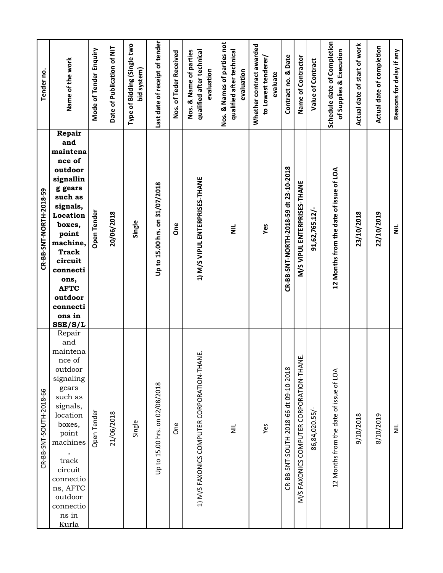| Tender no.              | Name of the work                                                                                                                                                                                                                                         | Mode of Tender Enquiry | Date of Publication of NIT | Type of Bidding (Single two<br>bid system) | Last date of receipt of tender | Nos. of Teder Received | Nos. & Name of parties<br>qualified after technical<br>evaluation | Nos. & Names of parties not<br>qualified after technical<br>evaluation | Whether contract awarded<br>to Lowest tenderer/<br>evaluate | Contract no. & Date                   | Name of Contractor                       | Value of Contract | Schedule date of Completion<br>of Supplies & Execution | Actual date of start of work | Actual date of completion | Reasons for delay if any |
|-------------------------|----------------------------------------------------------------------------------------------------------------------------------------------------------------------------------------------------------------------------------------------------------|------------------------|----------------------------|--------------------------------------------|--------------------------------|------------------------|-------------------------------------------------------------------|------------------------------------------------------------------------|-------------------------------------------------------------|---------------------------------------|------------------------------------------|-------------------|--------------------------------------------------------|------------------------------|---------------------------|--------------------------|
| CR-BB-SNT-NORTH-2018-59 | Repair<br>and<br>maintena<br>nce of<br>outdoor<br>signallin<br>g gears<br>such as<br>signals,<br>Location<br>boxes,<br>point<br>machine,<br><b>Track</b><br>circuit<br>connecti<br>ons,<br><b>AFTC</b><br>outdoor<br>connecti<br>ons in<br>SSE/S/L       | Open Tender            | 20/06/2018                 | Single                                     | Up to 15.00 hrs. on 31/07/2018 | <b>One</b>             | 1) M/S VIPUL ENTERPRISES-THANE                                    | $\equiv$                                                               | Yes                                                         | CR-BB-SNT-NORTH-2018-59 dt 23-10-2018 | M/S VIPUL ENTERPRISES-THANE              | 91,62,765.12/-    | 12 Months from the date of issue of LOA                | 23/10/2018                   | 22/10/2019                | $\equiv$                 |
| CR-BB-SNT-SOUTH-2018-66 | Repair<br>and<br>maintena<br>nce of<br>outdoor<br>signaling<br>gears<br>such as<br>signals,<br>location<br>boxes,<br>point<br>machines<br>$\, ,$<br>$\operatorname{track}$<br>circuit<br>connectio<br>ns, AFTC<br>outdoor<br>connectio<br>ns in<br>Kurla | Open Tender            | 21/06/2018                 | Single                                     | Up to 15.00 hrs. on 02/08/2018 | One                    | 1) M/S FAXONICS COMPUTER CORPORATION-THANE.                       | $\equiv$                                                               | Yes                                                         | CR-BB-SNT-SOUTH-2018-66 dt 09-10-2018 | M/S FAXONICS COMPUTER CORPORATION-THANE. | 86,84,020.55/-    | 12 Months from the date of issue of LOA                | 9/10/2018                    | 8/10/2019                 | $\equiv$                 |